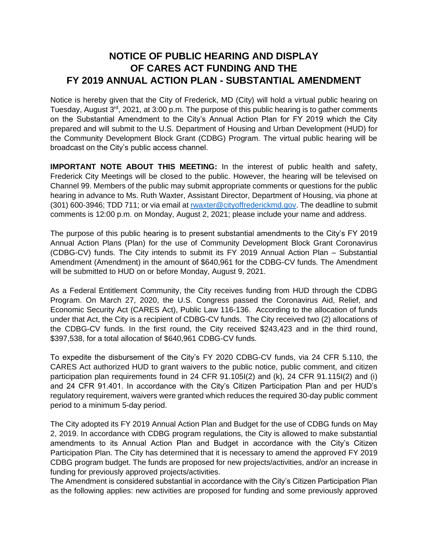## **NOTICE OF PUBLIC HEARING AND DISPLAY OF CARES ACT FUNDING AND THE FY 2019 ANNUAL ACTION PLAN - SUBSTANTIAL AMENDMENT**

Notice is hereby given that the City of Frederick, MD (City) will hold a virtual public hearing on Tuesday, August 3<sup>rd</sup>, 2021, at 3:00 p.m. The purpose of this public hearing is to gather comments on the Substantial Amendment to the City's Annual Action Plan for FY 2019 which the City prepared and will submit to the U.S. Department of Housing and Urban Development (HUD) for the Community Development Block Grant (CDBG) Program. The virtual public hearing will be broadcast on the City's public access channel.

**IMPORTANT NOTE ABOUT THIS MEETING:** In the interest of public health and safety, Frederick City Meetings will be closed to the public. However, the hearing will be televised on Channel 99. Members of the public may submit appropriate comments or questions for the public hearing in advance to Ms. Ruth Waxter, Assistant Director, Department of Housing, via phone at (301) 600-3946; TDD 711; or via email a[t rwaxter@cityoffrederickmd.gov.](mailto:rwaxter@cityoffrederickmd.gov) The deadline to submit comments is 12:00 p.m. on Monday, August 2, 2021; please include your name and address.

The purpose of this public hearing is to present substantial amendments to the City's FY 2019 Annual Action Plans (Plan) for the use of Community Development Block Grant Coronavirus (CDBG-CV) funds. The City intends to submit its FY 2019 Annual Action Plan – Substantial Amendment (Amendment) in the amount of \$640,961 for the CDBG-CV funds. The Amendment will be submitted to HUD on or before Monday, August 9, 2021.

As a Federal Entitlement Community, the City receives funding from HUD through the CDBG Program. On March 27, 2020, the U.S. Congress passed the Coronavirus Aid, Relief, and Economic Security Act (CARES Act), Public Law 116-136. According to the allocation of funds under that Act, the City is a recipient of CDBG-CV funds. The City received two (2) allocations of the CDBG-CV funds. In the first round, the City received \$243,423 and in the third round, \$397,538, for a total allocation of \$640,961 CDBG-CV funds.

To expedite the disbursement of the City's FY 2020 CDBG-CV funds, via 24 CFR 5.110, the CARES Act authorized HUD to grant waivers to the public notice, public comment, and citizen participation plan requirements found in 24 CFR 91.105I(2) and (k), 24 CFR 91.115I(2) and (i) and 24 CFR 91.401. In accordance with the City's Citizen Participation Plan and per HUD's regulatory requirement, waivers were granted which reduces the required 30-day public comment period to a minimum 5-day period.

The City adopted its FY 2019 Annual Action Plan and Budget for the use of CDBG funds on May 2, 2019. In accordance with CDBG program regulations, the City is allowed to make substantial amendments to its Annual Action Plan and Budget in accordance with the City's Citizen Participation Plan. The City has determined that it is necessary to amend the approved FY 2019 CDBG program budget. The funds are proposed for new projects/activities, and/or an increase in funding for previously approved projects/activities.

The Amendment is considered substantial in accordance with the City's Citizen Participation Plan as the following applies: new activities are proposed for funding and some previously approved